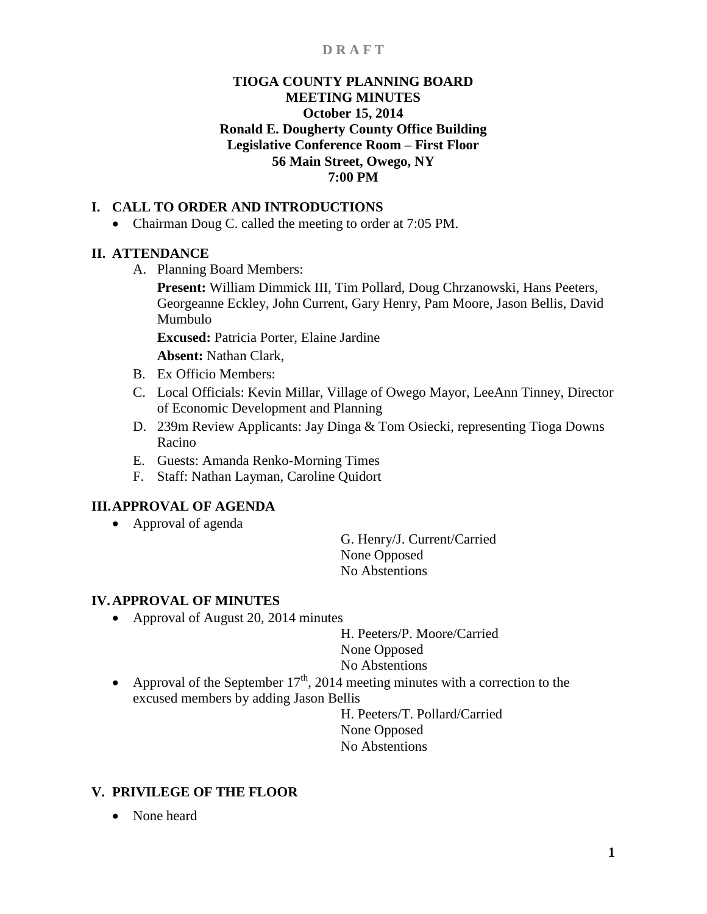## **TIOGA COUNTY PLANNING BOARD MEETING MINUTES October 15, 2014 Ronald E. Dougherty County Office Building Legislative Conference Room – First Floor 56 Main Street, Owego, NY 7:00 PM**

## **I. CALL TO ORDER AND INTRODUCTIONS**

• Chairman Doug C. called the meeting to order at 7:05 PM.

## **II. ATTENDANCE**

A. Planning Board Members:

**Present:** William Dimmick III, Tim Pollard, Doug Chrzanowski, Hans Peeters, Georgeanne Eckley, John Current, Gary Henry, Pam Moore, Jason Bellis, David Mumbulo

**Excused:** Patricia Porter, Elaine Jardine

**Absent:** Nathan Clark,

- B. Ex Officio Members:
- C. Local Officials: Kevin Millar, Village of Owego Mayor, LeeAnn Tinney, Director of Economic Development and Planning
- D. 239m Review Applicants: Jay Dinga & Tom Osiecki, representing Tioga Downs Racino
- E. Guests: Amanda Renko-Morning Times
- F. Staff: Nathan Layman, Caroline Quidort

## **III.APPROVAL OF AGENDA**

• Approval of agenda

G. Henry/J. Current/Carried None Opposed No Abstentions

## **IV.APPROVAL OF MINUTES**

• Approval of August 20, 2014 minutes

H. Peeters/P. Moore/Carried None Opposed No Abstentions

• Approval of the September  $17<sup>th</sup>$ , 2014 meeting minutes with a correction to the excused members by adding Jason Bellis

H. Peeters/T. Pollard/Carried None Opposed No Abstentions

## **V. PRIVILEGE OF THE FLOOR**

• None heard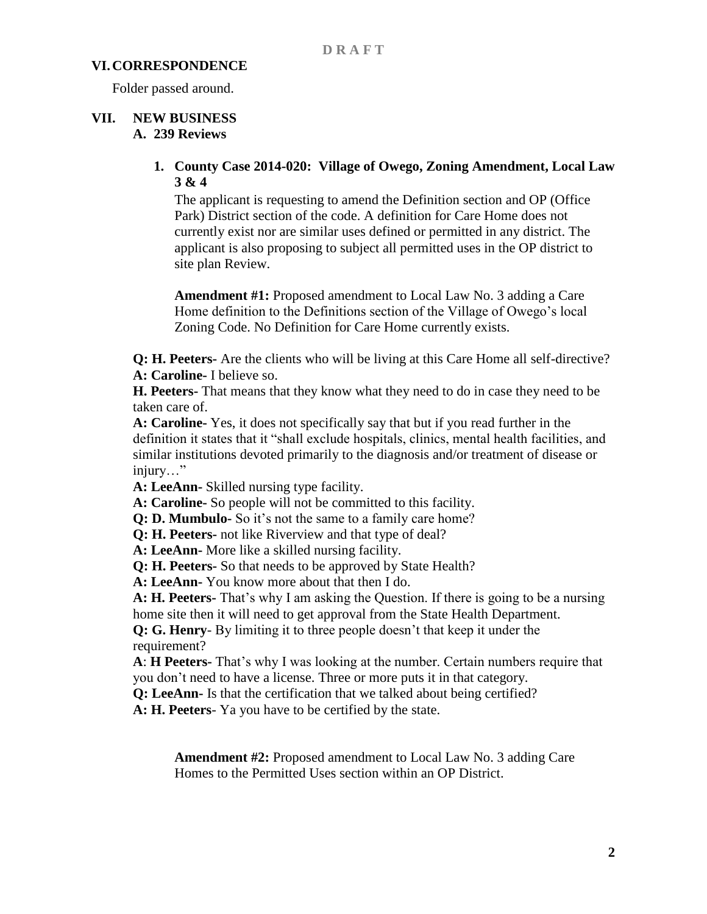#### **VI.CORRESPONDENCE**

Folder passed around.

# **VII. NEW BUSINESS**

## **A. 239 Reviews**

## **1. County Case 2014-020: Village of Owego, Zoning Amendment, Local Law 3 & 4**

The applicant is requesting to amend the Definition section and OP (Office Park) District section of the code. A definition for Care Home does not currently exist nor are similar uses defined or permitted in any district. The applicant is also proposing to subject all permitted uses in the OP district to site plan Review.

**Amendment #1:** Proposed amendment to Local Law No. 3 adding a Care Home definition to the Definitions section of the Village of Owego's local Zoning Code. No Definition for Care Home currently exists.

**Q: H. Peeters-** Are the clients who will be living at this Care Home all self-directive? **A: Caroline-** I believe so.

**H. Peeters-** That means that they know what they need to do in case they need to be taken care of.

**A: Caroline-** Yes, it does not specifically say that but if you read further in the definition it states that it "shall exclude hospitals, clinics, mental health facilities, and similar institutions devoted primarily to the diagnosis and/or treatment of disease or injury…"

**A: LeeAnn-** Skilled nursing type facility.

**A: Caroline-** So people will not be committed to this facility.

**Q: D. Mumbulo-** So it's not the same to a family care home?

**Q: H. Peeters-** not like Riverview and that type of deal?

**A: LeeAnn-** More like a skilled nursing facility.

**Q: H. Peeters-** So that needs to be approved by State Health?

**A: LeeAnn-** You know more about that then I do.

**A: H. Peeters-** That's why I am asking the Question. If there is going to be a nursing home site then it will need to get approval from the State Health Department.

**Q: G. Henry**- By limiting it to three people doesn't that keep it under the requirement?

**A**: **H Peeters-** That's why I was looking at the number. Certain numbers require that you don't need to have a license. Three or more puts it in that category.

**Q: LeeAnn-** Is that the certification that we talked about being certified?

**A: H. Peeters**- Ya you have to be certified by the state.

**Amendment #2:** Proposed amendment to Local Law No. 3 adding Care Homes to the Permitted Uses section within an OP District.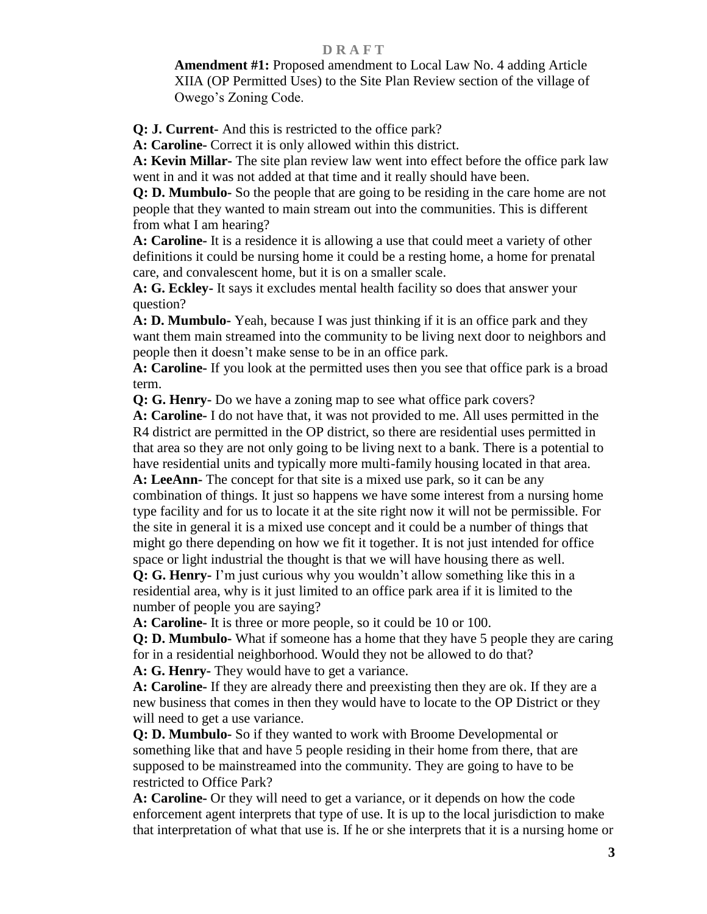**Amendment #1:** Proposed amendment to Local Law No. 4 adding Article XIIA (OP Permitted Uses) to the Site Plan Review section of the village of Owego's Zoning Code.

**Q: J. Current-** And this is restricted to the office park?

**A: Caroline-** Correct it is only allowed within this district.

**A: Kevin Millar-** The site plan review law went into effect before the office park law went in and it was not added at that time and it really should have been.

**Q: D. Mumbulo-** So the people that are going to be residing in the care home are not people that they wanted to main stream out into the communities. This is different from what I am hearing?

**A: Caroline-** It is a residence it is allowing a use that could meet a variety of other definitions it could be nursing home it could be a resting home, a home for prenatal care, and convalescent home, but it is on a smaller scale.

**A: G. Eckley-** It says it excludes mental health facility so does that answer your question?

**A: D. Mumbulo-** Yeah, because I was just thinking if it is an office park and they want them main streamed into the community to be living next door to neighbors and people then it doesn't make sense to be in an office park.

**A: Caroline-** If you look at the permitted uses then you see that office park is a broad term.

**Q: G. Henry-** Do we have a zoning map to see what office park covers?

**A: Caroline-** I do not have that, it was not provided to me. All uses permitted in the R4 district are permitted in the OP district, so there are residential uses permitted in that area so they are not only going to be living next to a bank. There is a potential to have residential units and typically more multi-family housing located in that area.

**A: LeeAnn-** The concept for that site is a mixed use park, so it can be any combination of things. It just so happens we have some interest from a nursing home type facility and for us to locate it at the site right now it will not be permissible. For the site in general it is a mixed use concept and it could be a number of things that might go there depending on how we fit it together. It is not just intended for office space or light industrial the thought is that we will have housing there as well.

**Q: G. Henry-** I'm just curious why you wouldn't allow something like this in a residential area, why is it just limited to an office park area if it is limited to the number of people you are saying?

**A: Caroline-** It is three or more people, so it could be 10 or 100.

**Q: D. Mumbulo-** What if someone has a home that they have 5 people they are caring for in a residential neighborhood. Would they not be allowed to do that?

**A: G. Henry-** They would have to get a variance.

**A: Caroline-** If they are already there and preexisting then they are ok. If they are a new business that comes in then they would have to locate to the OP District or they will need to get a use variance.

**Q: D. Mumbulo-** So if they wanted to work with Broome Developmental or something like that and have 5 people residing in their home from there, that are supposed to be mainstreamed into the community. They are going to have to be restricted to Office Park?

**A: Caroline-** Or they will need to get a variance, or it depends on how the code enforcement agent interprets that type of use. It is up to the local jurisdiction to make that interpretation of what that use is. If he or she interprets that it is a nursing home or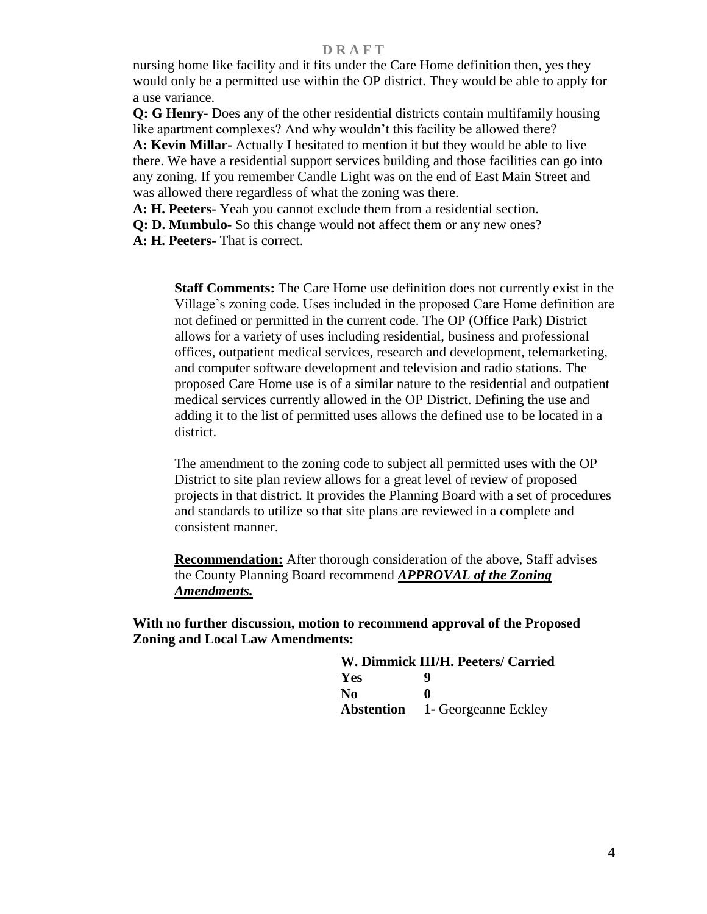nursing home like facility and it fits under the Care Home definition then, yes they would only be a permitted use within the OP district. They would be able to apply for a use variance.

**Q: G Henry-** Does any of the other residential districts contain multifamily housing like apartment complexes? And why wouldn't this facility be allowed there? **A: Kevin Millar-** Actually I hesitated to mention it but they would be able to live there. We have a residential support services building and those facilities can go into any zoning. If you remember Candle Light was on the end of East Main Street and was allowed there regardless of what the zoning was there.

**A: H. Peeters-** Yeah you cannot exclude them from a residential section.

**Q: D. Mumbulo-** So this change would not affect them or any new ones?

**A: H. Peeters-** That is correct.

**Staff Comments:** The Care Home use definition does not currently exist in the Village's zoning code. Uses included in the proposed Care Home definition are not defined or permitted in the current code. The OP (Office Park) District allows for a variety of uses including residential, business and professional offices, outpatient medical services, research and development, telemarketing, and computer software development and television and radio stations. The proposed Care Home use is of a similar nature to the residential and outpatient medical services currently allowed in the OP District. Defining the use and adding it to the list of permitted uses allows the defined use to be located in a district.

The amendment to the zoning code to subject all permitted uses with the OP District to site plan review allows for a great level of review of proposed projects in that district. It provides the Planning Board with a set of procedures and standards to utilize so that site plans are reviewed in a complete and consistent manner.

**Recommendation:** After thorough consideration of the above, Staff advises the County Planning Board recommend *APPROVAL of the Zoning Amendments.*

**With no further discussion, motion to recommend approval of the Proposed Zoning and Local Law Amendments:**

| W. Dimmick III/H. Peeters/ Carried |                                        |
|------------------------------------|----------------------------------------|
| Yes                                | 9                                      |
| No.                                | $\bullet$                              |
|                                    | <b>Abstention</b> 1- Georgeanne Eckley |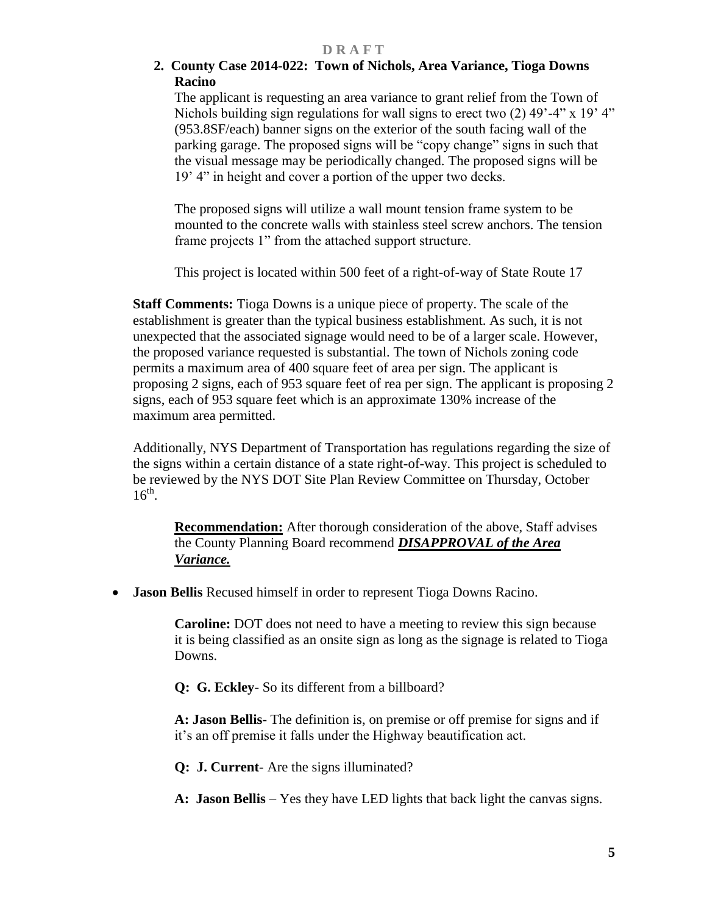## **2. County Case 2014-022: Town of Nichols, Area Variance, Tioga Downs Racino**

The applicant is requesting an area variance to grant relief from the Town of Nichols building sign regulations for wall signs to erect two (2) 49'-4" x 19' 4" (953.8SF/each) banner signs on the exterior of the south facing wall of the parking garage. The proposed signs will be "copy change" signs in such that the visual message may be periodically changed. The proposed signs will be 19' 4" in height and cover a portion of the upper two decks.

The proposed signs will utilize a wall mount tension frame system to be mounted to the concrete walls with stainless steel screw anchors. The tension frame projects 1" from the attached support structure.

This project is located within 500 feet of a right-of-way of State Route 17

**Staff Comments:** Tioga Downs is a unique piece of property. The scale of the establishment is greater than the typical business establishment. As such, it is not unexpected that the associated signage would need to be of a larger scale. However, the proposed variance requested is substantial. The town of Nichols zoning code permits a maximum area of 400 square feet of area per sign. The applicant is proposing 2 signs, each of 953 square feet of rea per sign. The applicant is proposing 2 signs, each of 953 square feet which is an approximate 130% increase of the maximum area permitted.

Additionally, NYS Department of Transportation has regulations regarding the size of the signs within a certain distance of a state right-of-way. This project is scheduled to be reviewed by the NYS DOT Site Plan Review Committee on Thursday, October  $16^{th}$ .

**Recommendation:** After thorough consideration of the above, Staff advises the County Planning Board recommend *DISAPPROVAL of the Area Variance.*

**Jason Bellis** Recused himself in order to represent Tioga Downs Racino.

 **Caroline:** DOT does not need to have a meeting to review this sign because it is being classified as an onsite sign as long as the signage is related to Tioga Downs.

**Q: G. Eckley**- So its different from a billboard?

**A: Jason Bellis**- The definition is, on premise or off premise for signs and if it's an off premise it falls under the Highway beautification act.

 **Q: J. Current**- Are the signs illuminated?

**A: Jason Bellis** – Yes they have LED lights that back light the canvas signs.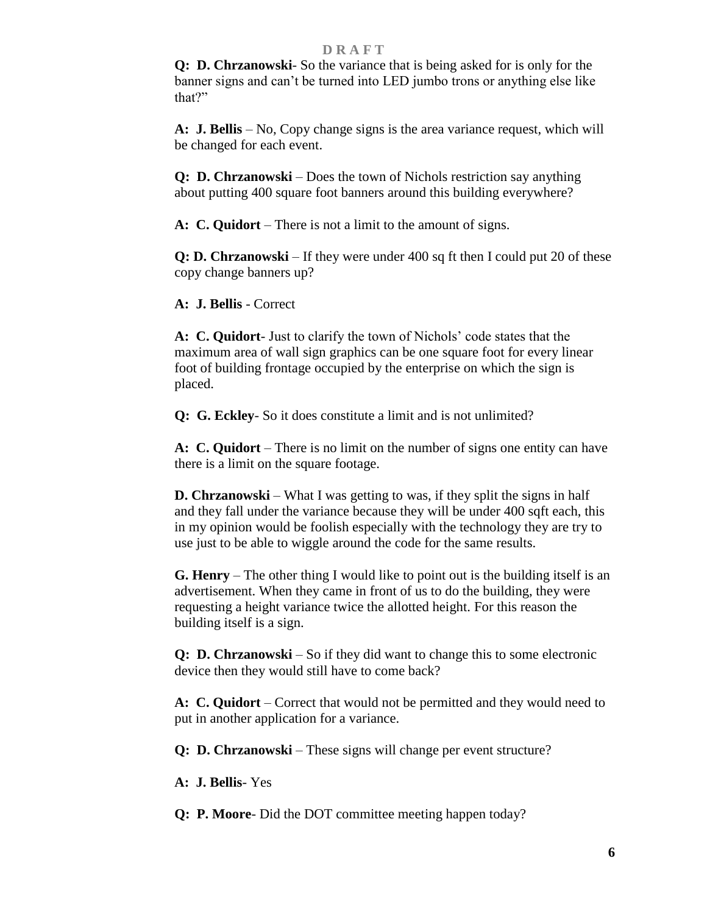**Q: D. Chrzanowski**- So the variance that is being asked for is only for the banner signs and can't be turned into LED jumbo trons or anything else like that?"

**A: J. Bellis** – No, Copy change signs is the area variance request, which will be changed for each event.

 **Q: D. Chrzanowski** – Does the town of Nichols restriction say anything about putting 400 square foot banners around this building everywhere?

**A: C. Quidort** – There is not a limit to the amount of signs.

 **Q: D. Chrzanowski** – If they were under 400 sq ft then I could put 20 of these copy change banners up?

**A: J. Bellis** - Correct

**A: C. Quidort**- Just to clarify the town of Nichols' code states that the maximum area of wall sign graphics can be one square foot for every linear foot of building frontage occupied by the enterprise on which the sign is placed.

 **Q: G. Eckley**- So it does constitute a limit and is not unlimited?

**A: C. Quidort** – There is no limit on the number of signs one entity can have there is a limit on the square footage.

 **D. Chrzanowski** – What I was getting to was, if they split the signs in half and they fall under the variance because they will be under 400 sqft each, this in my opinion would be foolish especially with the technology they are try to use just to be able to wiggle around the code for the same results.

**G. Henry** – The other thing I would like to point out is the building itself is an advertisement. When they came in front of us to do the building, they were requesting a height variance twice the allotted height. For this reason the building itself is a sign.

 **Q: D. Chrzanowski** – So if they did want to change this to some electronic device then they would still have to come back?

**A: C. Quidort** – Correct that would not be permitted and they would need to put in another application for a variance.

 **Q: D. Chrzanowski** – These signs will change per event structure?

**A: J. Bellis**- Yes

 **Q: P. Moore**- Did the DOT committee meeting happen today?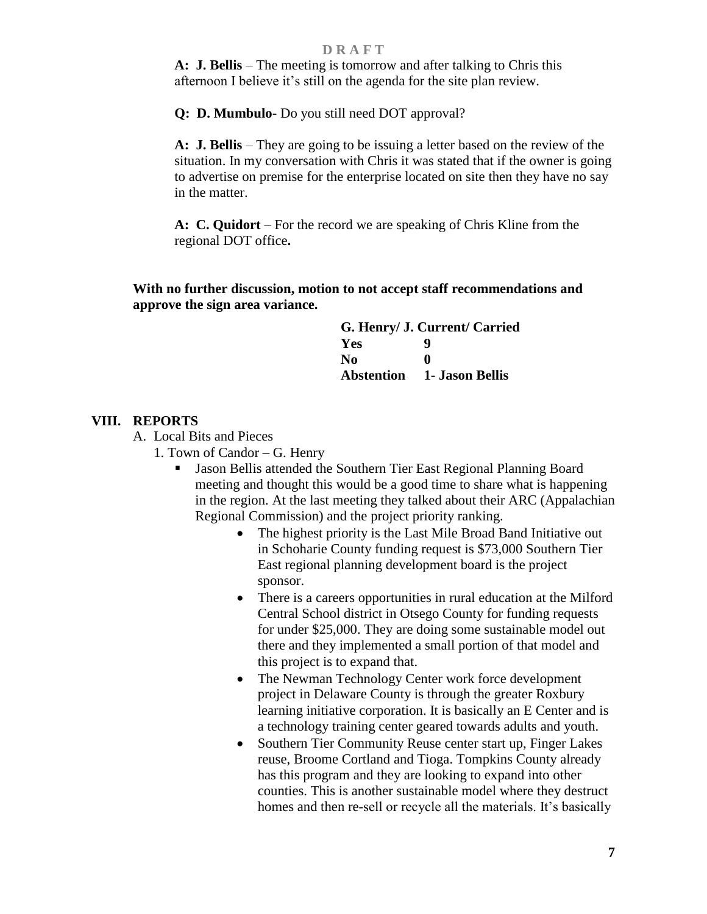**A: J. Bellis** – The meeting is tomorrow and after talking to Chris this afternoon I believe it's still on the agenda for the site plan review.

 **Q: D. Mumbulo-** Do you still need DOT approval?

**A: J. Bellis** – They are going to be issuing a letter based on the review of the situation. In my conversation with Chris it was stated that if the owner is going to advertise on premise for the enterprise located on site then they have no say in the matter.

**A: C. Quidort** – For the record we are speaking of Chris Kline from the regional DOT office**.**

**With no further discussion, motion to not accept staff recommendations and approve the sign area variance.** 

| G. Henry/ J. Current/ Carried |                                   |  |
|-------------------------------|-----------------------------------|--|
| Yes                           | Q                                 |  |
| No.                           | 0                                 |  |
|                               | <b>Abstention</b> 1- Jason Bellis |  |

#### **VIII. REPORTS**

A. Local Bits and Pieces

- 1. Town of Candor G. Henry
	- Jason Bellis attended the Southern Tier East Regional Planning Board meeting and thought this would be a good time to share what is happening in the region. At the last meeting they talked about their ARC (Appalachian Regional Commission) and the project priority ranking.
		- The highest priority is the Last Mile Broad Band Initiative out in Schoharie County funding request is \$73,000 Southern Tier East regional planning development board is the project sponsor.
		- There is a careers opportunities in rural education at the Milford Central School district in Otsego County for funding requests for under \$25,000. They are doing some sustainable model out there and they implemented a small portion of that model and this project is to expand that.
		- The Newman Technology Center work force development project in Delaware County is through the greater Roxbury learning initiative corporation. It is basically an E Center and is a technology training center geared towards adults and youth.
		- Southern Tier Community Reuse center start up, Finger Lakes reuse, Broome Cortland and Tioga. Tompkins County already has this program and they are looking to expand into other counties. This is another sustainable model where they destruct homes and then re-sell or recycle all the materials. It's basically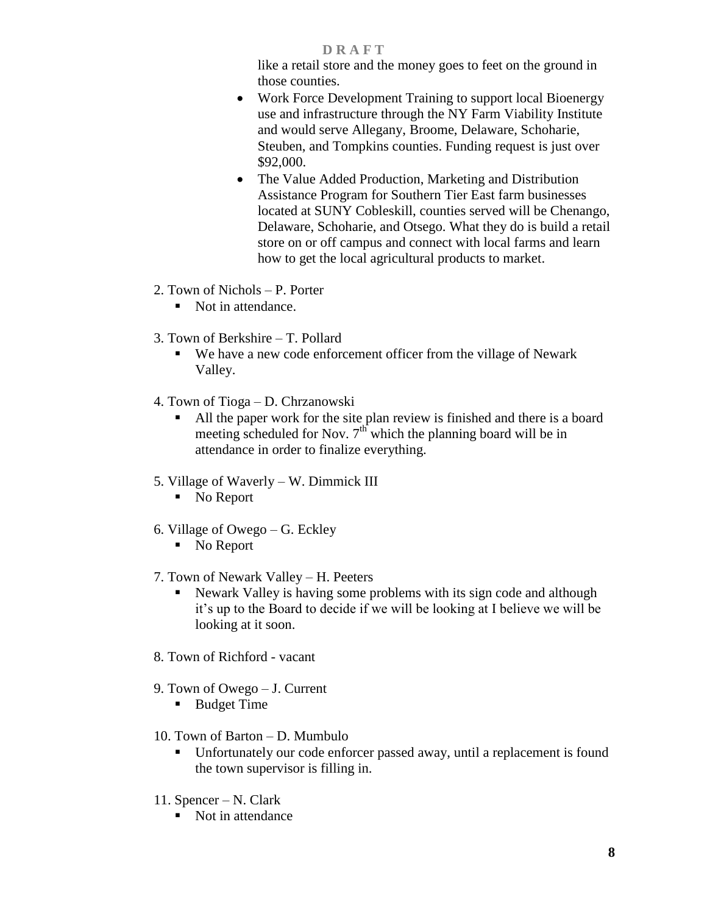like a retail store and the money goes to feet on the ground in those counties.

- Work Force Development Training to support local Bioenergy use and infrastructure through the NY Farm Viability Institute and would serve Allegany, Broome, Delaware, Schoharie, Steuben, and Tompkins counties. Funding request is just over \$92,000.
- The Value Added Production, Marketing and Distribution Assistance Program for Southern Tier East farm businesses located at SUNY Cobleskill, counties served will be Chenango, Delaware, Schoharie, and Otsego. What they do is build a retail store on or off campus and connect with local farms and learn how to get the local agricultural products to market.
- 2. Town of Nichols P. Porter
	- Not in attendance.
- 3. Town of Berkshire T. Pollard
	- We have a new code enforcement officer from the village of Newark Valley.
- 4. Town of Tioga D. Chrzanowski
	- All the paper work for the site plan review is finished and there is a board meeting scheduled for Nov.  $7<sup>th</sup>$  which the planning board will be in attendance in order to finalize everything.
- 5. Village of Waverly W. Dimmick III
	- No Report
- 6. Village of Owego G. Eckley
	- No Report
- 7. Town of Newark Valley H. Peeters
	- Newark Valley is having some problems with its sign code and although it's up to the Board to decide if we will be looking at I believe we will be looking at it soon.
- 8. Town of Richford vacant
- 9. Town of Owego J. Current
	- Budget Time
- 10. Town of Barton D. Mumbulo
	- Unfortunately our code enforcer passed away, until a replacement is found the town supervisor is filling in.
- 11. Spencer N. Clark
	- Not in attendance